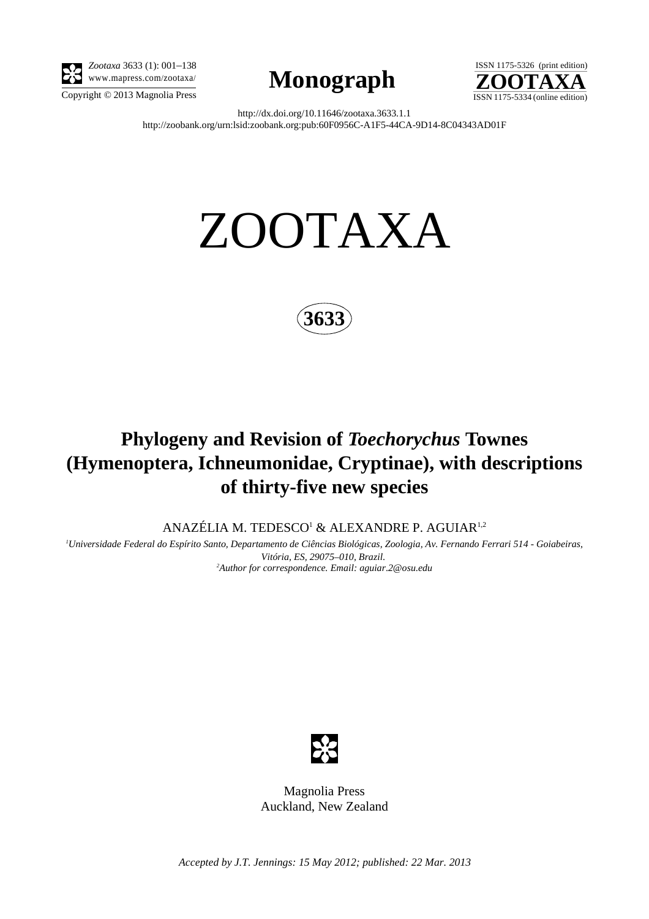

*Zootaxa* 3633 (1): 001–138





http://dx.doi.org/10.11646/zootaxa.3633.1.1 http://zoobank.org/urn:lsid:zoobank.org:pub:60F0956C-A1F5-44CA-9D14-8C04343AD01F

# ZOOTAXA



# **Phylogeny and Revision of** *Toechorychus* **Townes (Hymenoptera, Ichneumonidae, Cryptinae), with descriptions of thirty-five new species**

ANAZÉLIA M. TEDESCO<sup>1</sup> & ALEXANDRE P. AGUIAR<sup>1,2</sup>

*1 Universidade Federal do Espírito Santo, Departamento de Ciências Biológicas, Zoologia, Av. Fernando Ferrari 514 - Goiabeiras, Vitória, ES, 29075–010, Brazil*. *2 Author for correspondence. Email: aguiar*.*2@osu*.*edu*



Magnolia Press Auckland, New Zealand

*Accepted by J.T. Jennings: 15 May 2012; published: 22 Mar. 2013*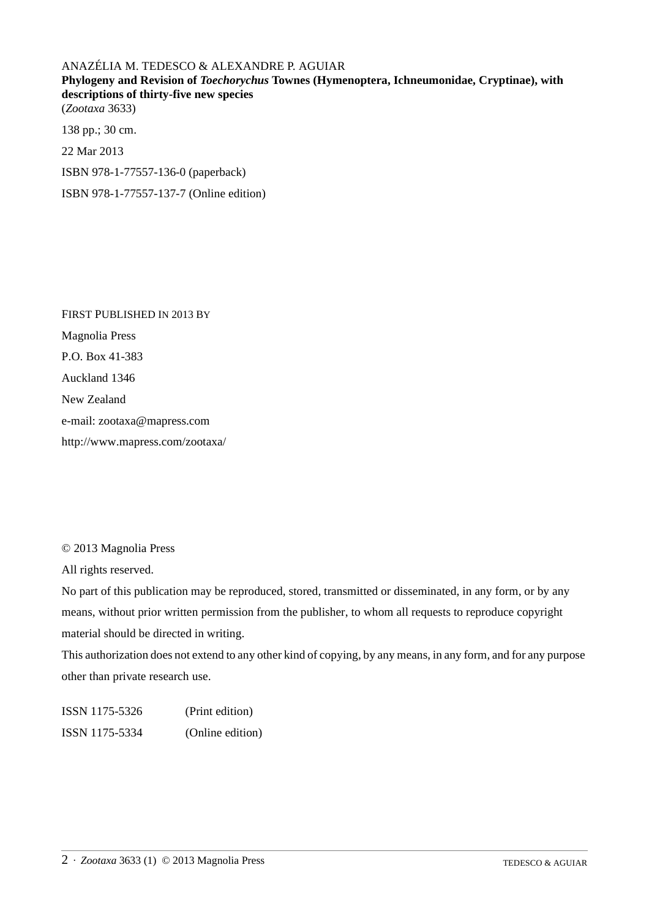## ANAZÉLIA M. TEDESCO & ALEXANDRE P. AGUIAR

**Phylogeny and Revision of** *Toechorychus* **Townes (Hymenoptera, Ichneumonidae, Cryptinae), with descriptions of thirty-five new species**

(*Zootaxa* 3633)

138 pp.; 30 cm.

22 Mar 2013

ISBN 978-1-77557-136-0 (paperback)

ISBN 978-1-77557-137-7 (Online edition)

FIRST PUBLISHED IN 2013 BY Magnolia Press P.O. Box 41-383 Auckland 1346 New Zealand e-mail: zootaxa@mapress.com http://www.mapress.com/zootaxa/

© 2013 Magnolia Press

All rights reserved.

No part of this publication may be reproduced, stored, transmitted or disseminated, in any form, or by any means, without prior written permission from the publisher, to whom all requests to reproduce copyright material should be directed in writing.

This authorization does not extend to any other kind of copying, by any means, in any form, and for any purpose other than private research use.

ISSN 1175-5326 (Print edition) ISSN 1175-5334 (Online edition)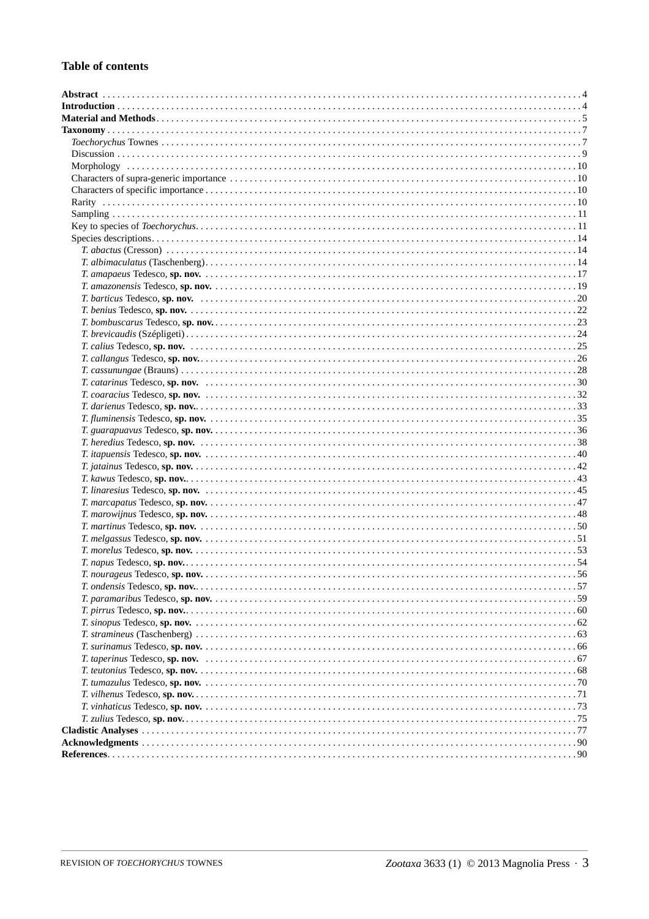### **Table of contents**